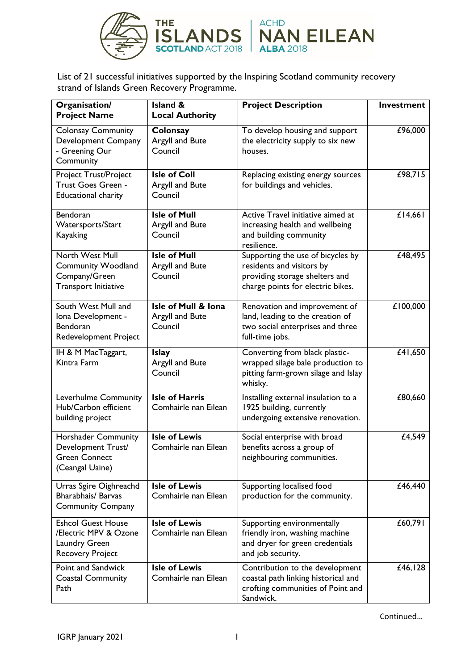

List of 21 successful initiatives supported by the Inspiring Scotland community recovery strand of Islands Green Recovery Programme.

| Organisation/<br><b>Project Name</b>                                                           | <b>Island &amp;</b><br><b>Local Authority</b>     | <b>Project Description</b>                                                                                                            | Investment           |
|------------------------------------------------------------------------------------------------|---------------------------------------------------|---------------------------------------------------------------------------------------------------------------------------------------|----------------------|
| <b>Colonsay Community</b><br>Development Company<br>- Greening Our<br>Community                | Colonsay<br>Argyll and Bute<br>Council            | To develop housing and support<br>the electricity supply to six new<br>houses.                                                        | £96,000              |
| <b>Project Trust/Project</b><br>Trust Goes Green -<br><b>Educational charity</b>               | <b>Isle of Coll</b><br>Argyll and Bute<br>Council | Replacing existing energy sources<br>for buildings and vehicles.                                                                      | £98,715              |
| <b>Bendoran</b><br>Watersports/Start<br><b>Kayaking</b>                                        | <b>Isle of Mull</b><br>Argyll and Bute<br>Council | Active Travel initiative aimed at<br>increasing health and wellbeing<br>and building community<br>resilience.                         | $£$ <sup>14,66</sup> |
| North West Mull<br><b>Community Woodland</b><br>Company/Green<br>Transport Initiative          | <b>Isle of Mull</b><br>Argyll and Bute<br>Council | Supporting the use of bicycles by<br>residents and visitors by<br>providing storage shelters and<br>charge points for electric bikes. | £48,495              |
| South West Mull and<br>Iona Development -<br><b>Bendoran</b><br>Redevelopment Project          | Isle of Mull & Iona<br>Argyll and Bute<br>Council | Renovation and improvement of<br>land, leading to the creation of<br>two social enterprises and three<br>full-time jobs.              | £100,000             |
| IH & M MacTaggart,<br>Kintra Farm                                                              | <b>Islay</b><br>Argyll and Bute<br>Council        | Converting from black plastic-<br>wrapped silage bale production to<br>pitting farm-grown silage and Islay<br>whisky.                 | £41,650              |
| Leverhulme Community<br>Hub/Carbon efficient<br>building project                               | <b>Isle of Harris</b><br>Comhairle nan Eilean     | Installing external insulation to a<br>1925 building, currently<br>undergoing extensive renovation.                                   | £80,660              |
| Horshader Community<br>Development Trust/<br><b>Green Connect</b><br>(Ceangal Uaine)           | <b>Isle of Lewis</b><br>Comhairle nan Eilean      | Social enterprise with broad<br>benefits across a group of<br>neighbouring communities.                                               | £4,549               |
| Urras Sgire Oighreachd<br><b>Bharabhais/ Barvas</b><br><b>Community Company</b>                | <b>Isle of Lewis</b><br>Comhairle nan Eilean      | Supporting localised food<br>production for the community.                                                                            | £46,440              |
| <b>Eshcol Guest House</b><br>/Electric MPV & Ozone<br>Laundry Green<br><b>Recovery Project</b> | <b>Isle of Lewis</b><br>Comhairle nan Eilean      | Supporting environmentally<br>friendly iron, washing machine<br>and dryer for green credentials<br>and job security.                  | £60,791              |
| Point and Sandwick<br><b>Coastal Community</b><br>Path                                         | <b>Isle of Lewis</b><br>Comhairle nan Eilean      | Contribution to the development<br>coastal path linking historical and<br>crofting communities of Point and<br>Sandwick.              | £46,128              |

Continued…